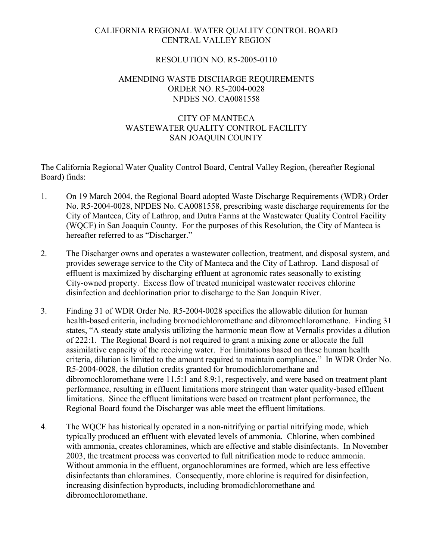## CALIFORNIA REGIONAL WATER QUALITY CONTROL BOARD CENTRAL VALLEY REGION

## RESOLUTION NO. R5-2005-0110

## AMENDING WASTE DISCHARGE REQUIREMENTS ORDER NO. R5-2004-0028 NPDES NO. CA0081558

# CITY OF MANTECA WASTEWATER QUALITY CONTROL FACILITY SAN JOAQUIN COUNTY

The California Regional Water Quality Control Board, Central Valley Region, (hereafter Regional Board) finds:

- 1. On 19 March 2004, the Regional Board adopted Waste Discharge Requirements (WDR) Order No. R5-2004-0028, NPDES No. CA0081558, prescribing waste discharge requirements for the City of Manteca, City of Lathrop, and Dutra Farms at the Wastewater Quality Control Facility (WQCF) in San Joaquin County. For the purposes of this Resolution, the City of Manteca is hereafter referred to as "Discharger."
- 2. The Discharger owns and operates a wastewater collection, treatment, and disposal system, and provides sewerage service to the City of Manteca and the City of Lathrop. Land disposal of effluent is maximized by discharging effluent at agronomic rates seasonally to existing City-owned property. Excess flow of treated municipal wastewater receives chlorine disinfection and dechlorination prior to discharge to the San Joaquin River.
- 3. Finding 31 of WDR Order No. R5-2004-0028 specifies the allowable dilution for human health-based criteria, including bromodichloromethane and dibromochloromethane. Finding 31 states, "A steady state analysis utilizing the harmonic mean flow at Vernalis provides a dilution of 222:1. The Regional Board is not required to grant a mixing zone or allocate the full assimilative capacity of the receiving water. For limitations based on these human health criteria, dilution is limited to the amount required to maintain compliance." In WDR Order No. R5-2004-0028, the dilution credits granted for bromodichloromethane and dibromochloromethane were 11.5:1 and 8.9:1, respectively, and were based on treatment plant performance, resulting in effluent limitations more stringent than water quality-based effluent limitations. Since the effluent limitations were based on treatment plant performance, the Regional Board found the Discharger was able meet the effluent limitations.
- 4. The WQCF has historically operated in a non-nitrifying or partial nitrifying mode, which typically produced an effluent with elevated levels of ammonia. Chlorine, when combined with ammonia, creates chloramines, which are effective and stable disinfectants. In November 2003, the treatment process was converted to full nitrification mode to reduce ammonia. Without ammonia in the effluent, organochloramines are formed, which are less effective disinfectants than chloramines. Consequently, more chlorine is required for disinfection, increasing disinfection byproducts, including bromodichloromethane and dibromochloromethane.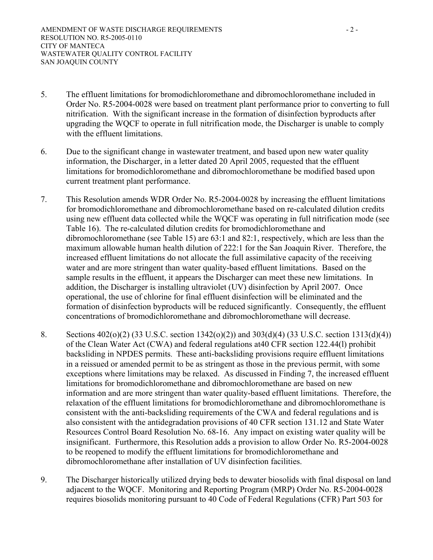- 5. The effluent limitations for bromodichloromethane and dibromochloromethane included in Order No. R5-2004-0028 were based on treatment plant performance prior to converting to full nitrification. With the significant increase in the formation of disinfection byproducts after upgrading the WQCF to operate in full nitrification mode, the Discharger is unable to comply with the effluent limitations.
- 6. Due to the significant change in wastewater treatment, and based upon new water quality information, the Discharger, in a letter dated 20 April 2005, requested that the effluent limitations for bromodichloromethane and dibromochloromethane be modified based upon current treatment plant performance.
- 7. This Resolution amends WDR Order No. R5-2004-0028 by increasing the effluent limitations for bromodichloromethane and dibromochloromethane based on re-calculated dilution credits using new effluent data collected while the WQCF was operating in full nitrification mode (see Table 16). The re-calculated dilution credits for bromodichloromethane and dibromochloromethane (see Table 15) are 63:1 and 82:1, respectively, which are less than the maximum allowable human health dilution of 222:1 for the San Joaquin River. Therefore, the increased effluent limitations do not allocate the full assimilative capacity of the receiving water and are more stringent than water quality-based effluent limitations. Based on the sample results in the effluent, it appears the Discharger can meet these new limitations. In addition, the Discharger is installing ultraviolet (UV) disinfection by April 2007. Once operational, the use of chlorine for final effluent disinfection will be eliminated and the formation of disinfection byproducts will be reduced significantly. Consequently, the effluent concentrations of bromodichloromethane and dibromochloromethane will decrease.
- 8. Sections 402(o)(2) (33 U.S.C. section 1342(o)(2)) and 303(d)(4) (33 U.S.C. section 1313(d)(4)) of the Clean Water Act (CWA) and federal regulations at40 CFR section 122.44(l) prohibit backsliding in NPDES permits. These anti-backsliding provisions require effluent limitations in a reissued or amended permit to be as stringent as those in the previous permit, with some exceptions where limitations may be relaxed. As discussed in Finding 7, the increased effluent limitations for bromodichloromethane and dibromochloromethane are based on new information and are more stringent than water quality-based effluent limitations. Therefore, the relaxation of the effluent limitations for bromodichloromethane and dibromochloromethane is consistent with the anti-backsliding requirements of the CWA and federal regulations and is also consistent with the antidegradation provisions of 40 CFR section 131.12 and State Water Resources Control Board Resolution No. 68-16. Any impact on existing water quality will be insignificant. Furthermore, this Resolution adds a provision to allow Order No. R5-2004-0028 to be reopened to modify the effluent limitations for bromodichloromethane and dibromochloromethane after installation of UV disinfection facilities.
- 9. The Discharger historically utilized drying beds to dewater biosolids with final disposal on land adjacent to the WQCF. Monitoring and Reporting Program (MRP) Order No. R5-2004-0028 requires biosolids monitoring pursuant to 40 Code of Federal Regulations (CFR) Part 503 for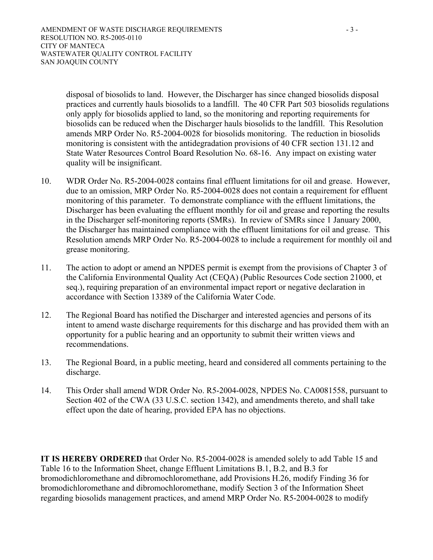disposal of biosolids to land. However, the Discharger has since changed biosolids disposal practices and currently hauls biosolids to a landfill. The 40 CFR Part 503 biosolids regulations only apply for biosolids applied to land, so the monitoring and reporting requirements for biosolids can be reduced when the Discharger hauls biosolids to the landfill. This Resolution amends MRP Order No. R5-2004-0028 for biosolids monitoring. The reduction in biosolids monitoring is consistent with the antidegradation provisions of 40 CFR section 131.12 and State Water Resources Control Board Resolution No. 68-16. Any impact on existing water quality will be insignificant.

- 10. WDR Order No. R5-2004-0028 contains final effluent limitations for oil and grease. However, due to an omission, MRP Order No. R5-2004-0028 does not contain a requirement for effluent monitoring of this parameter. To demonstrate compliance with the effluent limitations, the Discharger has been evaluating the effluent monthly for oil and grease and reporting the results in the Discharger self-monitoring reports (SMRs). In review of SMRs since 1 January 2000, the Discharger has maintained compliance with the effluent limitations for oil and grease. This Resolution amends MRP Order No. R5-2004-0028 to include a requirement for monthly oil and grease monitoring.
- 11. The action to adopt or amend an NPDES permit is exempt from the provisions of Chapter 3 of the California Environmental Quality Act (CEQA) (Public Resources Code section 21000, et seq.), requiring preparation of an environmental impact report or negative declaration in accordance with Section 13389 of the California Water Code.
- 12. The Regional Board has notified the Discharger and interested agencies and persons of its intent to amend waste discharge requirements for this discharge and has provided them with an opportunity for a public hearing and an opportunity to submit their written views and recommendations.
- 13. The Regional Board, in a public meeting, heard and considered all comments pertaining to the discharge.
- 14. This Order shall amend WDR Order No. R5-2004-0028, NPDES No. CA0081558, pursuant to Section 402 of the CWA (33 U.S.C. section 1342), and amendments thereto, and shall take effect upon the date of hearing, provided EPA has no objections.

**IT IS HEREBY ORDERED** that Order No. R5-2004-0028 is amended solely to add Table 15 and Table 16 to the Information Sheet, change Effluent Limitations B.1, B.2, and B.3 for bromodichloromethane and dibromochloromethane, add Provisions H.26, modify Finding 36 for bromodichloromethane and dibromochloromethane, modify Section 3 of the Information Sheet regarding biosolids management practices, and amend MRP Order No. R5-2004-0028 to modify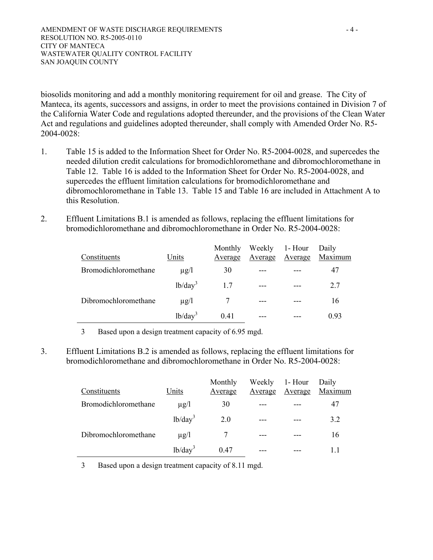biosolids monitoring and add a monthly monitoring requirement for oil and grease. The City of Manteca, its agents, successors and assigns, in order to meet the provisions contained in Division 7 of the California Water Code and regulations adopted thereunder, and the provisions of the Clean Water Act and regulations and guidelines adopted thereunder, shall comply with Amended Order No. R5- 2004-0028:

- 1. Table 15 is added to the Information Sheet for Order No. R5-2004-0028, and supercedes the needed dilution credit calculations for bromodichloromethane and dibromochloromethane in Table 12. Table 16 is added to the Information Sheet for Order No. R5-2004-0028, and supercedes the effluent limitation calculations for bromodichloromethane and dibromochloromethane in Table 13. Table 15 and Table 16 are included in Attachment A to this Resolution.
- 2. Effluent Limitations B.1 is amended as follows, replacing the effluent limitations for bromodichloromethane and dibromochloromethane in Order No. R5-2004-0028:

| Constituents                | Units      | Monthly<br>Average | Average | Weekly 1- Hour<br>Average | Daily<br>Maximum |
|-----------------------------|------------|--------------------|---------|---------------------------|------------------|
| <b>Bromodichloromethane</b> | $\mu$ g/l  | 30                 |         |                           | 47               |
|                             | $1b/day^3$ | 1.7                | $---$   |                           | 2.7              |
| Dibromochloromethane        | $\mu$ g/l  |                    | $---$   |                           | 16               |
|                             | $1b/day^3$ | 0.41               |         |                           | 0.93             |

3 Based upon a design treatment capacity of 6.95 mgd.

3. Effluent Limitations B.2 is amended as follows, replacing the effluent limitations for bromodichloromethane and dibromochloromethane in Order No. R5-2004-0028:

| Constituents         | Units      | Monthly<br>Average | Average | Weekly 1- Hour<br>Average | Daily<br>Maximum |
|----------------------|------------|--------------------|---------|---------------------------|------------------|
| Bromodichloromethane | $\mu$ g/l  | 30                 |         |                           | 47               |
|                      | $lb/day^3$ | 2.0                |         |                           | 3.2              |
| Dibromochloromethane | $\mu$ g/l  |                    |         |                           | 16               |
|                      | $lb/day^3$ | 0.47               |         |                           | 11               |

3 Based upon a design treatment capacity of 8.11 mgd.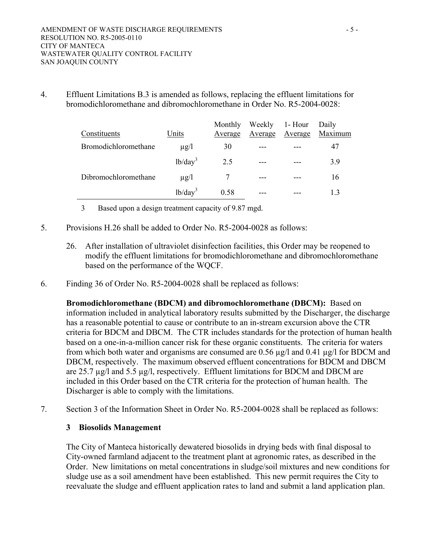4. Effluent Limitations B.3 is amended as follows, replacing the effluent limitations for bromodichloromethane and dibromochloromethane in Order No. R5-2004-0028:

| Constituents         | Units      | Monthly<br>Average | Average | Weekly 1- Hour<br>Average | Daily<br>Maximum |
|----------------------|------------|--------------------|---------|---------------------------|------------------|
| Bromodichloromethane | $\mu$ g/l  | 30                 |         |                           | 47               |
|                      | $lb/day^3$ | 2.5                |         |                           | 39               |
| Dibromochloromethane | $\mu$ g/l  |                    | $---$   |                           | 16               |
|                      | $1b/day^3$ | 0.58               |         |                           | 13               |

3 Based upon a design treatment capacity of 9.87 mgd.

- 5. Provisions H.26 shall be added to Order No. R5-2004-0028 as follows:
	- 26. After installation of ultraviolet disinfection facilities, this Order may be reopened to modify the effluent limitations for bromodichloromethane and dibromochloromethane based on the performance of the WQCF.
- 6. Finding 36 of Order No. R5-2004-0028 shall be replaced as follows:

**Bromodichloromethane (BDCM) and dibromochloromethane (DBCM):**Based on information included in analytical laboratory results submitted by the Discharger, the discharge has a reasonable potential to cause or contribute to an in-stream excursion above the CTR criteria for BDCM and DBCM. The CTR includes standards for the protection of human health based on a one-in-a-million cancer risk for these organic constituents. The criteria for waters from which both water and organisms are consumed are 0.56 µg/l and 0.41 µg/l for BDCM and DBCM, respectively. The maximum observed effluent concentrations for BDCM and DBCM are 25.7 µg/l and 5.5 µg/l, respectively. Effluent limitations for BDCM and DBCM are included in this Order based on the CTR criteria for the protection of human health. The Discharger is able to comply with the limitations.

7. Section 3 of the Information Sheet in Order No. R5-2004-0028 shall be replaced as follows:

### **3 Biosolids Management**

The City of Manteca historically dewatered biosolids in drying beds with final disposal to City-owned farmland adjacent to the treatment plant at agronomic rates, as described in the Order. New limitations on metal concentrations in sludge/soil mixtures and new conditions for sludge use as a soil amendment have been established. This new permit requires the City to reevaluate the sludge and effluent application rates to land and submit a land application plan.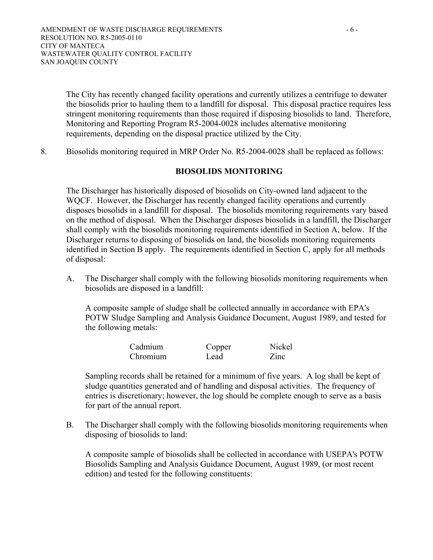The City has recently changed facility operations and currently utilizes a centrifuge to dewater the biosolids prior to hauling them to a landfill for disposal. This disposal practice requires less stringent monitoring requirements than those required if disposing biosolids to land. Therefore, Monitoring and Reporting Program R5-2004-0028 includes alternative monitoring requirements, depending on the disposal practice utilized by the City.

8. Biosolids monitoring required in MRP Order No. R5-2004-0028 shall be replaced as follows:

### **BIOSOLIDS MONITORING**

The Discharger has historically disposed of biosolids on City-owned land adjacent to the WQCF. However, the Discharger has recently changed facility operations and currently disposes biosolids in a landfill for disposal. The biosolids monitoring requirements vary based on the method of disposal. When the Discharger disposes biosolids in a landfill, the Discharger shall comply with the biosolids monitoring requirements identified in Section A, below. If the Discharger returns to disposing of biosolids on land, the biosolids monitoring requirements identified in Section B apply. The requirements identified in Section C, apply for all methods of disposal:

A. The Discharger shall comply with the following biosolids monitoring requirements when biosolids are disposed in a landfill:

A composite sample of sludge shall be collected annually in accordance with EPA's POTW Sludge Sampling and Analysis Guidance Document, August 1989, and tested for the following metals:

| Cadmium  | Copper | Nickel |
|----------|--------|--------|
| Chromium | Lead   | Zinc   |

Sampling records shall be retained for a minimum of five years. A log shall be kept of sludge quantities generated and of handling and disposal activities. The frequency of entries is discretionary; however, the log should be complete enough to serve as a basis for part of the annual report.

B. The Discharger shall comply with the following biosolids monitoring requirements when disposing of biosolids to land:

A composite sample of biosolids shall be collected in accordance with USEPA's POTW Biosolids Sampling and Analysis Guidance Document, August 1989, (or most recent edition) and tested for the following constituents: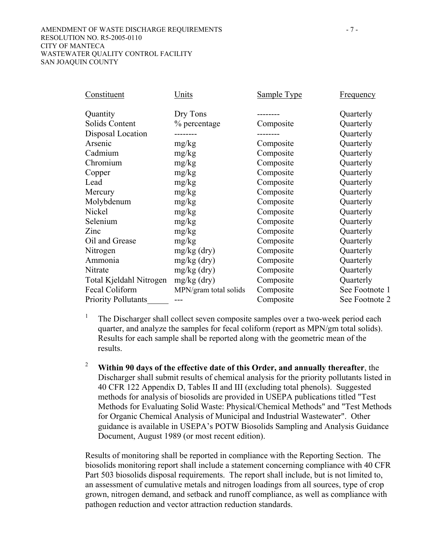#### AMENDMENT OF WASTE DISCHARGE REQUIREMENTS  $-7$  -RESOLUTION NO. R5-2005-0110 CITY OF MANTECA WASTEWATER QUALITY CONTROL FACILITY SAN JOAQUIN COUNTY

| Constituent                | Units                 | Sample Type | <b>Frequency</b> |
|----------------------------|-----------------------|-------------|------------------|
| Quantity                   | Dry Tons              |             | Quarterly        |
| Solids Content             | % percentage          | Composite   | Quarterly        |
| Disposal Location          |                       |             | Quarterly        |
| Arsenic                    | mg/kg                 | Composite   | Quarterly        |
| Cadmium                    | mg/kg                 | Composite   | Quarterly        |
| Chromium                   | mg/kg                 | Composite   | Quarterly        |
| Copper                     | mg/kg                 | Composite   | Quarterly        |
| Lead                       | mg/kg                 | Composite   | Quarterly        |
| Mercury                    | mg/kg                 | Composite   | Quarterly        |
| Molybdenum                 | mg/kg                 | Composite   | Quarterly        |
| Nickel                     | mg/kg                 | Composite   | Quarterly        |
| Selenium                   | mg/kg                 | Composite   | Quarterly        |
| Zinc                       | mg/kg                 | Composite   | Quarterly        |
| Oil and Grease             | mg/kg                 | Composite   | Quarterly        |
| Nitrogen                   | $mg/kg$ (dry)         | Composite   | Quarterly        |
| Ammonia                    | $mg/kg$ (dry)         | Composite   | Quarterly        |
| Nitrate                    | $mg/kg$ (dry)         | Composite   | Quarterly        |
| Total Kjeldahl Nitrogen    | $mg/kg$ (dry)         | Composite   | Quarterly        |
| Fecal Coliform             | MPN/gram total solids | Composite   | See Footnote 1   |
| <b>Priority Pollutants</b> |                       | Composite   | See Footnote 2   |

1 The Discharger shall collect seven composite samples over a two-week period each quarter, and analyze the samples for fecal coliform (report as MPN/gm total solids). Results for each sample shall be reported along with the geometric mean of the results.

<sup>2</sup> **Within 90 days of the effective date of this Order, and annually thereafter**, the Discharger shall submit results of chemical analysis for the priority pollutants listed in 40 CFR 122 Appendix D, Tables II and III (excluding total phenols). Suggested methods for analysis of biosolids are provided in USEPA publications titled "Test Methods for Evaluating Solid Waste: Physical/Chemical Methods" and "Test Methods for Organic Chemical Analysis of Municipal and Industrial Wastewater". Other guidance is available in USEPA's POTW Biosolids Sampling and Analysis Guidance Document, August 1989 (or most recent edition).

Results of monitoring shall be reported in compliance with the Reporting Section. The biosolids monitoring report shall include a statement concerning compliance with 40 CFR Part 503 biosolids disposal requirements. The report shall include, but is not limited to, an assessment of cumulative metals and nitrogen loadings from all sources, type of crop grown, nitrogen demand, and setback and runoff compliance, as well as compliance with pathogen reduction and vector attraction reduction standards.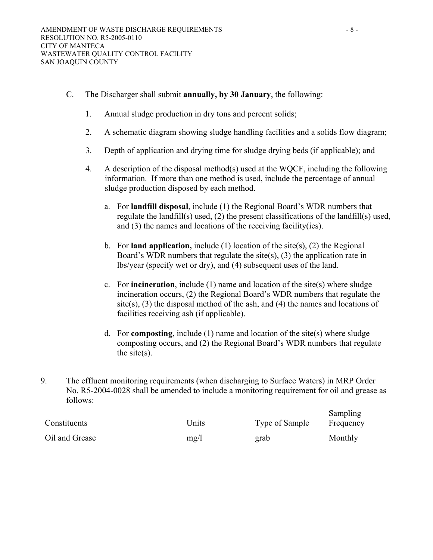- C. The Discharger shall submit **annually, by 30 January**, the following:
	- 1. Annual sludge production in dry tons and percent solids;
	- 2. A schematic diagram showing sludge handling facilities and a solids flow diagram;
	- 3. Depth of application and drying time for sludge drying beds (if applicable); and
	- 4. A description of the disposal method(s) used at the WQCF, including the following information. If more than one method is used, include the percentage of annual sludge production disposed by each method.
		- a. For **landfill disposal**, include (1) the Regional Board's WDR numbers that regulate the landfill(s) used, (2) the present classifications of the landfill(s) used, and (3) the names and locations of the receiving facility(ies).
		- b. For **land application,** include (1) location of the site(s), (2) the Regional Board's WDR numbers that regulate the site(s), (3) the application rate in lbs/year (specify wet or dry), and (4) subsequent uses of the land.
		- c. For **incineration**, include (1) name and location of the site(s) where sludge incineration occurs, (2) the Regional Board's WDR numbers that regulate the site(s),  $(3)$  the disposal method of the ash, and  $(4)$  the names and locations of facilities receiving ash (if applicable).
		- d. For **composting**, include (1) name and location of the site(s) where sludge composting occurs, and (2) the Regional Board's WDR numbers that regulate the site $(s)$ .
- 9. The effluent monitoring requirements (when discharging to Surface Waters) in MRP Order No. R5-2004-0028 shall be amended to include a monitoring requirement for oil and grease as follows:

| Constituents   | Units | Type of Sample | Sampling<br>Frequency |
|----------------|-------|----------------|-----------------------|
| Oil and Grease | mg/l  | grab           | Monthly               |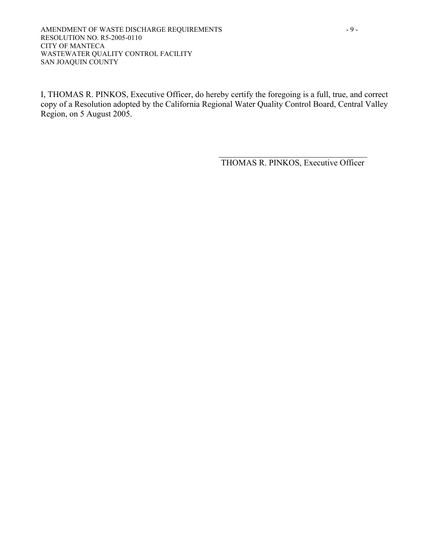#### AMENDMENT OF WASTE DISCHARGE REQUIREMENTS - 9 -RESOLUTION NO. R5-2005-0110 CITY OF MANTECA WASTEWATER QUALITY CONTROL FACILITY SAN JOAQUIN COUNTY

I, THOMAS R. PINKOS, Executive Officer, do hereby certify the foregoing is a full, true, and correct copy of a Resolution adopted by the California Regional Water Quality Control Board, Central Valley Region, on 5 August 2005.

> $\mathcal{L}_\text{max}$ THOMAS R. PINKOS, Executive Officer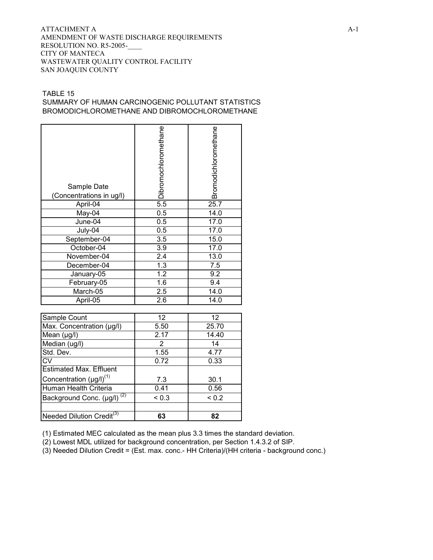#### ATTACHMENT A  $A-1$ AMENDMENT OF WASTE DISCHARGE REQUIREMENTS RESOLUTION NO. R5-2005-\_\_\_\_ CITY OF MANTECA WASTEWATER QUALITY CONTROL FACILITY SAN JOAQUIN COUNTY

### TABLE 15 SUMMARY OF HUMAN CARCINOGENIC POLLUTANT STATISTICS BROMODICHLOROMETHANE AND DIBROMOCHLOROMETHANE

| Sample Date<br>(Concentrations in ug/l) | Dibromochloromethane | Bromodichloromethane |
|-----------------------------------------|----------------------|----------------------|
| April-04                                | 5.5                  | 25.7                 |
| May-04                                  | 0.5                  | 14.0                 |
| June-04                                 | 0.5                  | 17.0                 |
| July-04                                 | 0.5                  | 17.0                 |
| September-04                            | 3.5                  | 15.0                 |
| October-04                              | 3.9                  | 17.0                 |
| November-04                             | 2.4                  | 13.0                 |
| December-04                             | 1.3                  | 7.5                  |
| January-05                              | $\overline{1.2}$     | 9.2                  |
| February-05                             | 1.6                  | 9.4                  |
| March-05                                | 2.5                  | 14.0                 |
| April-05                                | 2.6                  | 14.0                 |
|                                         |                      |                      |
| Sample Count                            | 12                   | $\overline{12}$      |
| Max. Concentration (µg/l)               | 5.50                 | 25.70                |
| Mean (µg/l)                             | 2.17                 | 14.40                |
| Median (ug/l)                           | $\overline{2}$       | 14                   |
| Std. Dev.                               | 1.55                 | 4.77                 |
| <b>CV</b>                               | 0.72                 | 0.33                 |
| <b>Estimated Max. Effluent</b>          |                      |                      |
| $C$ and anti-origin $(1, 0)$            |                      | າດ 4                 |

Concentration  $(\mu g/l)^{(1)}$  7.3  $\vert$  30.1 Human Health Criteria | 0.41 | 0.56 Background Conc.  $(\mu g/l)^{(2)}$  < 0.3 < 0.2 Needed Dilution Credit<sup>(3)</sup> | 63 | 82

(1) Estimated MEC calculated as the mean plus 3.3 times the standard deviation.

(2) Lowest MDL utilized for background concentration, per Section 1.4.3.2 of SIP.

(3) Needed Dilution Credit = (Est. max. conc.- HH Criteria)/(HH criteria - background conc.)